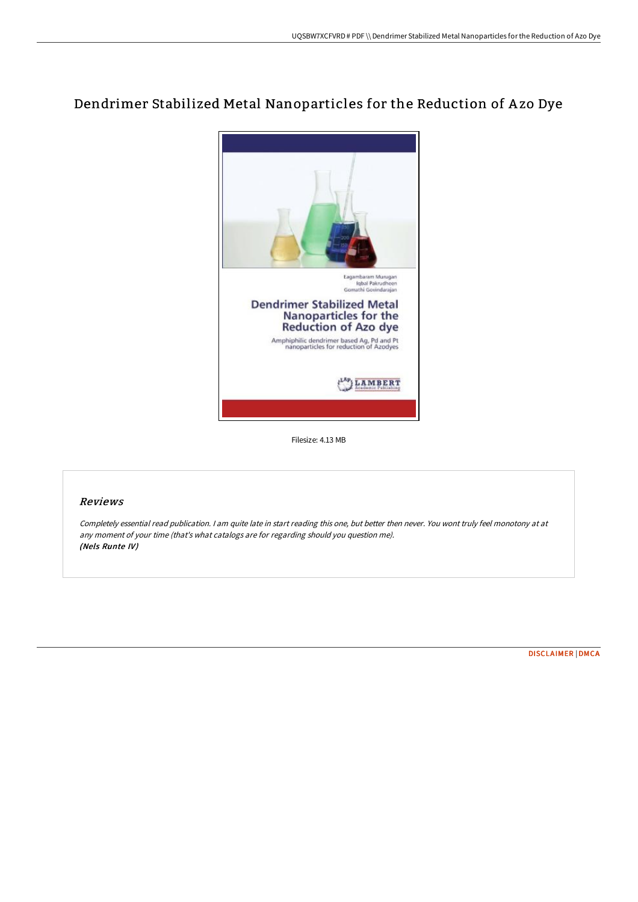## Dendrimer Stabilized Metal Nanoparticles for the Reduction of A zo Dye



Filesize: 4.13 MB

## Reviews

Completely essential read publication. <sup>I</sup> am quite late in start reading this one, but better then never. You wont truly feel monotony at at any moment of your time (that's what catalogs are for regarding should you question me). (Nels Runte IV)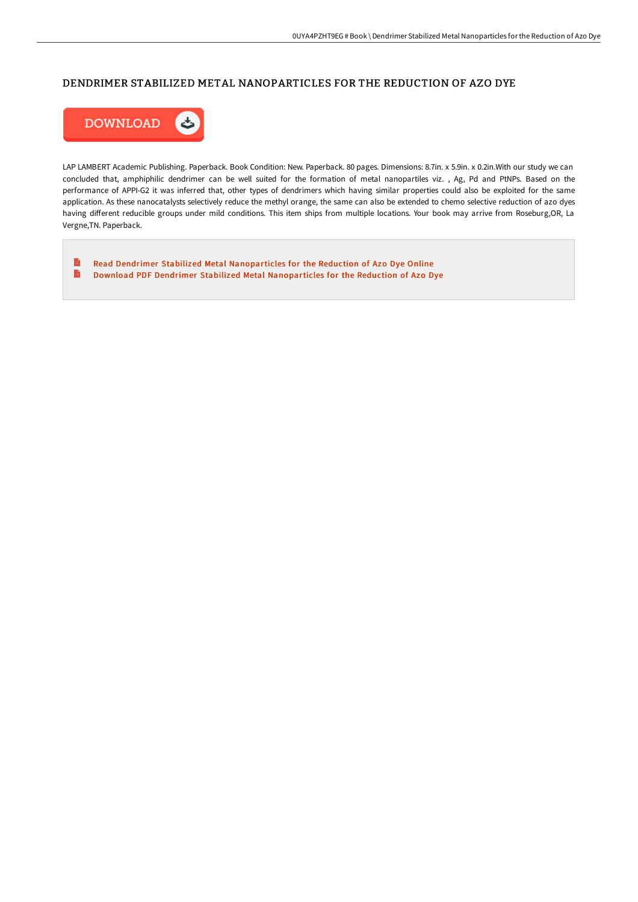## DENDRIMER STABILIZED METAL NANOPARTICLES FOR THE REDUCTION OF AZO DYE



LAP LAMBERT Academic Publishing. Paperback. Book Condition: New. Paperback. 80 pages. Dimensions: 8.7in. x 5.9in. x 0.2in.With our study we can concluded that, amphiphilic dendrimer can be well suited for the formation of metal nanopartiles viz. , Ag, Pd and PtNPs. Based on the performance of APPI-G2 it was inferred that, other types of dendrimers which having similar properties could also be exploited for the same application. As these nanocatalysts selectively reduce the methyl orange, the same can also be extended to chemo selective reduction of azo dyes having different reducible groups under mild conditions. This item ships from multiple locations. Your book may arrive from Roseburg, OR, La Vergne,TN. Paperback.

 $\blacksquare$ Read Dendrimer Stabilized Metal [Nanoparticles](http://albedo.media/dendrimer-stabilized-metal-nanoparticles-for-the.html) for the Reduction of Azo Dye Online  $\Rightarrow$ Download PDF Dendrimer Stabilized Metal [Nanoparticles](http://albedo.media/dendrimer-stabilized-metal-nanoparticles-for-the.html) for the Reduction of Azo Dye